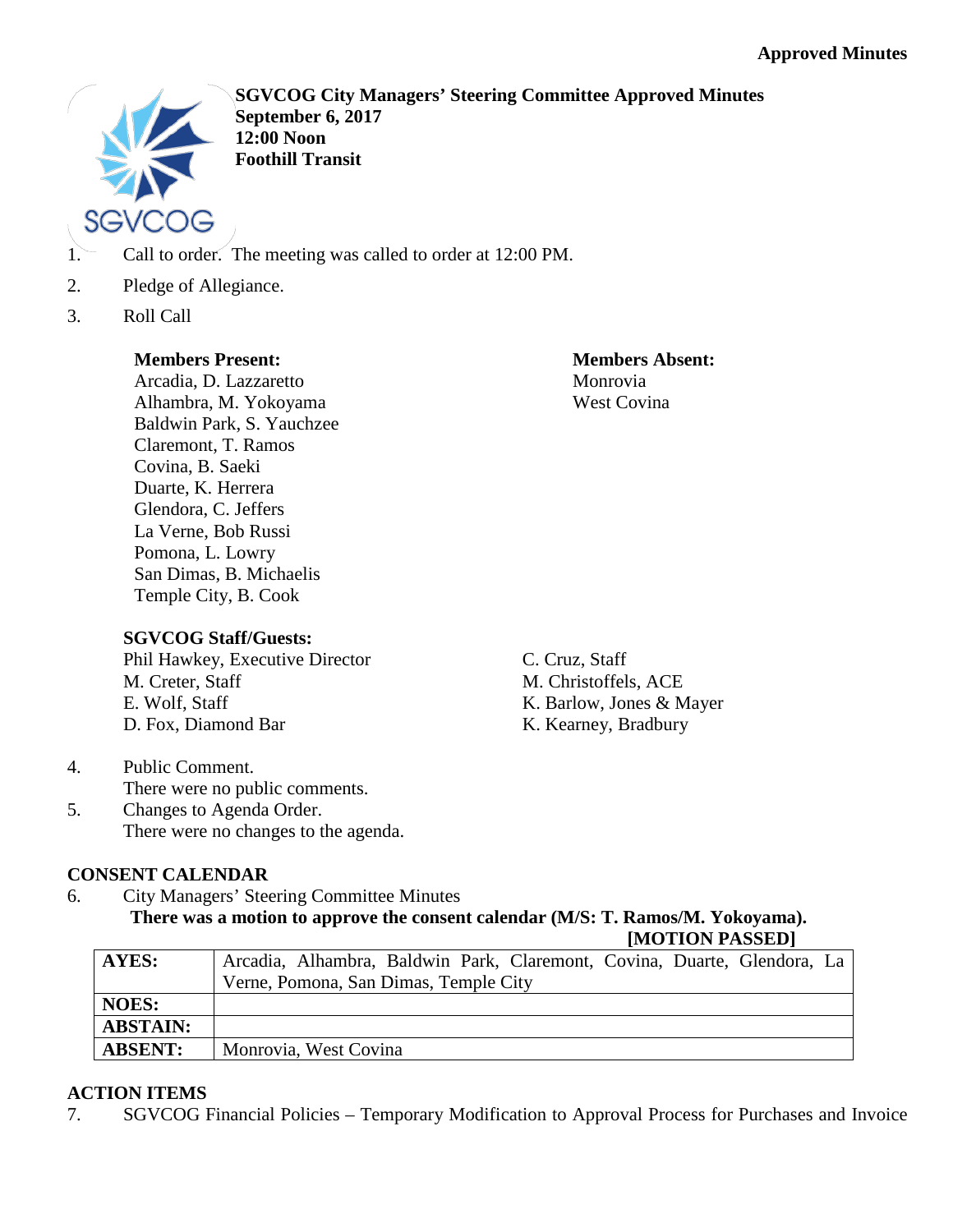

**SGVCOG City Managers' Steering Committee Approved Minutes September 6, 2017 12:00 Noon Foothill Transit**

- 1. Call to order. The meeting was called to order at 12:00 PM.
- 2. Pledge of Allegiance.
- 3. Roll Call

#### **Members Present:**

Arcadia, D. Lazzaretto Alhambra, M. Yokoyama Baldwin Park, S. Yauchzee Claremont, T. Ramos Covina, B. Saeki Duarte, K. Herrera Glendora, C. Jeffers La Verne, Bob Russi Pomona, L. Lowry San Dimas, B. Michaelis Temple City, B. Cook

## **SGVCOG Staff/Guests:**

Phil Hawkey, Executive Director M. Creter, Staff E. Wolf, Staff D. Fox, Diamond Bar

**Members Absent:** Monrovia West Covina

C. Cruz, Staff M. Christoffels, ACE K. Barlow, Jones & Mayer K. Kearney, Bradbury

- 4. Public Comment. There were no public comments.
- 5. Changes to Agenda Order. There were no changes to the agenda.

# **CONSENT CALENDAR**

6. City Managers' Steering Committee Minutes **There was a motion to approve the consent calendar (M/S: T. Ramos/M. Yokoyama). [MOTION PASSED]**

| AYES:           |                                       |  | Arcadia, Alhambra, Baldwin Park, Claremont, Covina, Duarte, Glendora, La |  |  |
|-----------------|---------------------------------------|--|--------------------------------------------------------------------------|--|--|
|                 | Verne, Pomona, San Dimas, Temple City |  |                                                                          |  |  |
| <b>NOES:</b>    |                                       |  |                                                                          |  |  |
| <b>ABSTAIN:</b> |                                       |  |                                                                          |  |  |
| <b>ABSENT:</b>  | Monrovia, West Covina                 |  |                                                                          |  |  |

## **ACTION ITEMS**

7. SGVCOG Financial Policies – Temporary Modification to Approval Process for Purchases and Invoice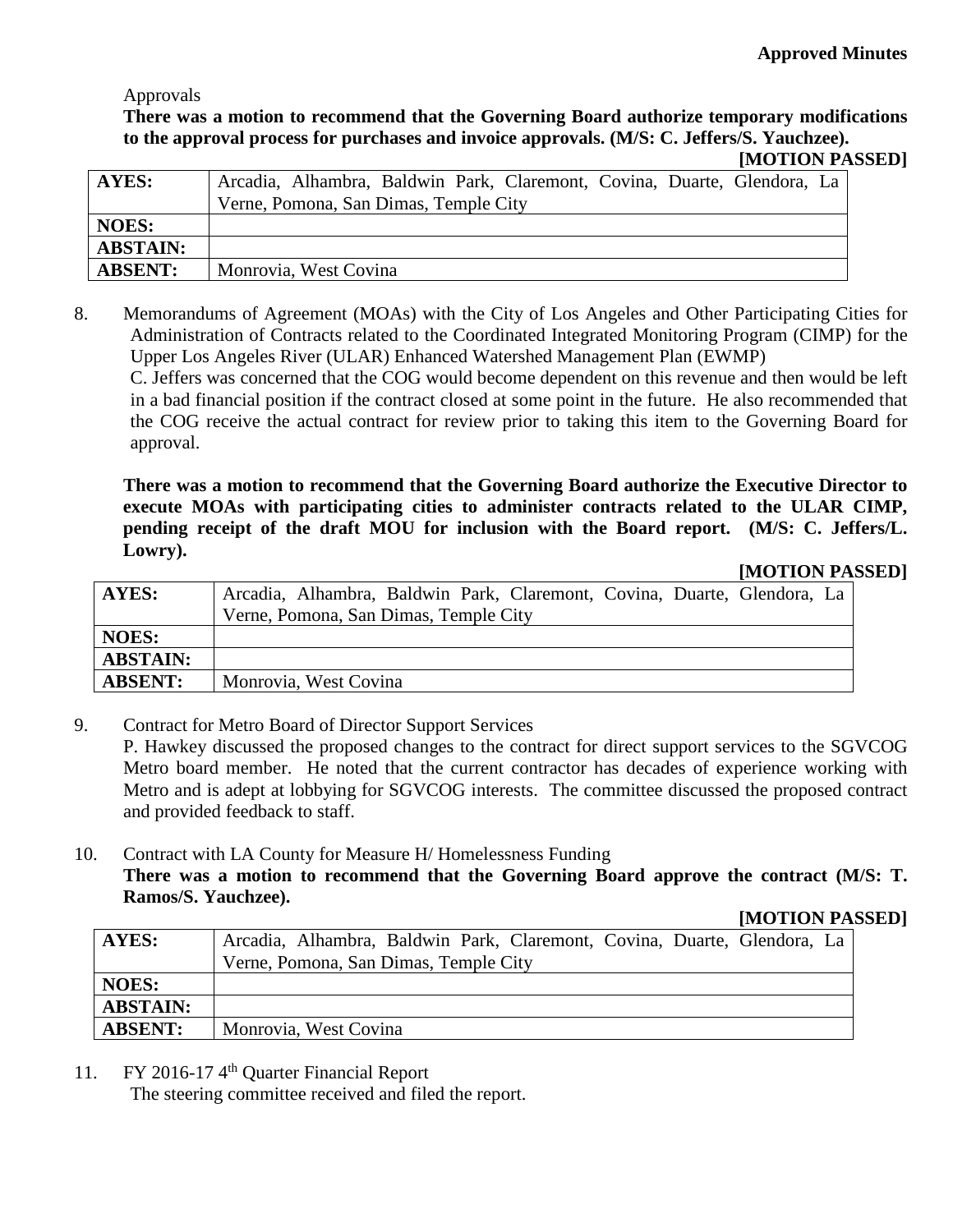#### Approvals

## **There was a motion to recommend that the Governing Board authorize temporary modifications to the approval process for purchases and invoice approvals. (M/S: C. Jeffers/S. Yauchzee).**

| <b>AYES:</b>    | Arcadia, Alhambra, Baldwin Park, Claremont, Covina, Duarte, Glendora, La |
|-----------------|--------------------------------------------------------------------------|
|                 | Verne, Pomona, San Dimas, Temple City                                    |
| <b>NOES:</b>    |                                                                          |
| <b>ABSTAIN:</b> |                                                                          |
| <b>ABSENT:</b>  | Monrovia, West Covina                                                    |

8. Memorandums of Agreement (MOAs) with the City of Los Angeles and Other Participating Cities for Administration of Contracts related to the Coordinated Integrated Monitoring Program (CIMP) for the Upper Los Angeles River (ULAR) Enhanced Watershed Management Plan (EWMP)

C. Jeffers was concerned that the COG would become dependent on this revenue and then would be left in a bad financial position if the contract closed at some point in the future. He also recommended that the COG receive the actual contract for review prior to taking this item to the Governing Board for approval.

**There was a motion to recommend that the Governing Board authorize the Executive Director to execute MOAs with participating cities to administer contracts related to the ULAR CIMP, pending receipt of the draft MOU for inclusion with the Board report. (M/S: C. Jeffers/L. Lowry).**

**[MOTION PASSED]**

| <b>AYES:</b>    | Arcadia, Alhambra, Baldwin Park, Claremont, Covina, Duarte, Glendora, La |
|-----------------|--------------------------------------------------------------------------|
|                 | Verne, Pomona, San Dimas, Temple City                                    |
| <b>NOES:</b>    |                                                                          |
| <b>ABSTAIN:</b> |                                                                          |
| <b>ABSENT:</b>  | Monrovia, West Covina                                                    |

9. Contract for Metro Board of Director Support Services

P. Hawkey discussed the proposed changes to the contract for direct support services to the SGVCOG Metro board member. He noted that the current contractor has decades of experience working with Metro and is adept at lobbying for SGVCOG interests. The committee discussed the proposed contract and provided feedback to staff.

## 10. Contract with LA County for Measure H/ Homelessness Funding **There was a motion to recommend that the Governing Board approve the contract (M/S: T. Ramos/S. Yauchzee).**

## **[MOTION PASSED]**

| <b>AYES:</b>    | Arcadia, Alhambra, Baldwin Park, Claremont, Covina, Duarte, Glendora, La |
|-----------------|--------------------------------------------------------------------------|
|                 | Verne, Pomona, San Dimas, Temple City                                    |
| <b>NOES:</b>    |                                                                          |
| <b>ABSTAIN:</b> |                                                                          |
| <b>ABSENT:</b>  | Monrovia, West Covina                                                    |

11. FY 2016-174<sup>th</sup> Quarter Financial Report

The steering committee received and filed the report.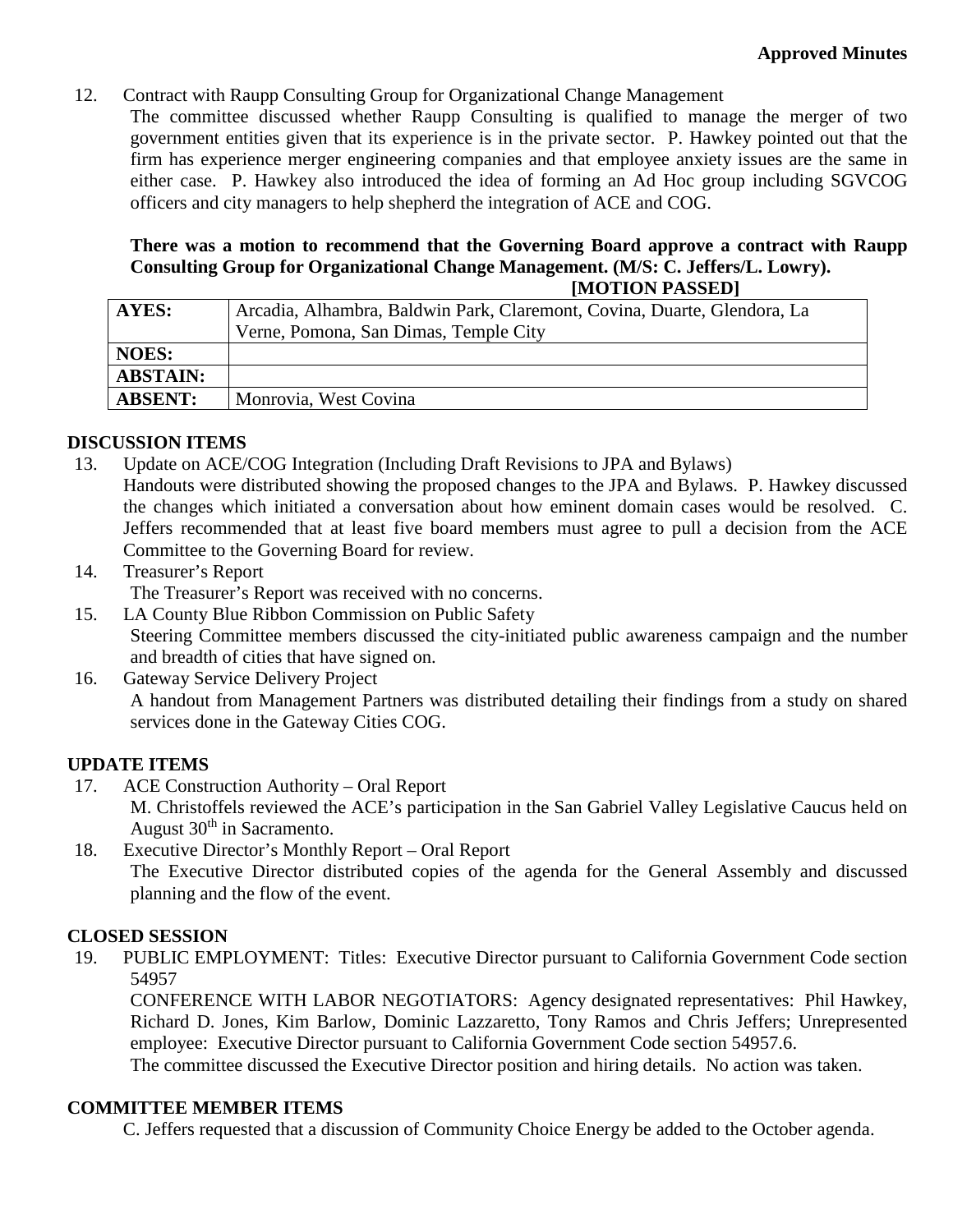12. Contract with Raupp Consulting Group for Organizational Change Management

The committee discussed whether Raupp Consulting is qualified to manage the merger of two government entities given that its experience is in the private sector. P. Hawkey pointed out that the firm has experience merger engineering companies and that employee anxiety issues are the same in either case. P. Hawkey also introduced the idea of forming an Ad Hoc group including SGVCOG officers and city managers to help shepherd the integration of ACE and COG.

#### **There was a motion to recommend that the Governing Board approve a contract with Raupp Consulting Group for Organizational Change Management. (M/S: C. Jeffers/L. Lowry). [MOTION PASSED]**

|                 | $\bf{H}$                                                                 |  |  |
|-----------------|--------------------------------------------------------------------------|--|--|
| <b>AYES:</b>    | Arcadia, Alhambra, Baldwin Park, Claremont, Covina, Duarte, Glendora, La |  |  |
|                 | Verne, Pomona, San Dimas, Temple City                                    |  |  |
| <b>NOES:</b>    |                                                                          |  |  |
| <b>ABSTAIN:</b> |                                                                          |  |  |
| <b>ABSENT:</b>  | Monrovia, West Covina                                                    |  |  |

#### **DISCUSSION ITEMS**

13. Update on ACE/COG Integration (Including Draft Revisions to JPA and Bylaws)

Handouts were distributed showing the proposed changes to the JPA and Bylaws. P. Hawkey discussed the changes which initiated a conversation about how eminent domain cases would be resolved. C. Jeffers recommended that at least five board members must agree to pull a decision from the ACE Committee to the Governing Board for review.

14. Treasurer's Report

The Treasurer's Report was received with no concerns.

- 15. LA County Blue Ribbon Commission on Public Safety Steering Committee members discussed the city-initiated public awareness campaign and the number and breadth of cities that have signed on.
- 16. Gateway Service Delivery Project A handout from Management Partners was distributed detailing their findings from a study on shared services done in the Gateway Cities COG.

## **UPDATE ITEMS**

17. ACE Construction Authority – Oral Report

M. Christoffels reviewed the ACE's participation in the San Gabriel Valley Legislative Caucus held on August  $30<sup>th</sup>$  in Sacramento.

18. Executive Director's Monthly Report – Oral Report The Executive Director distributed copies of the agenda for the General Assembly and discussed planning and the flow of the event.

## **CLOSED SESSION**

19. PUBLIC EMPLOYMENT: Titles: Executive Director pursuant to California Government Code section 54957

CONFERENCE WITH LABOR NEGOTIATORS: Agency designated representatives: Phil Hawkey, Richard D. Jones, Kim Barlow, Dominic Lazzaretto, Tony Ramos and Chris Jeffers; Unrepresented employee: Executive Director pursuant to California Government Code section 54957.6. The committee discussed the Executive Director position and hiring details. No action was taken.

#### **COMMITTEE MEMBER ITEMS**

C. Jeffers requested that a discussion of Community Choice Energy be added to the October agenda.